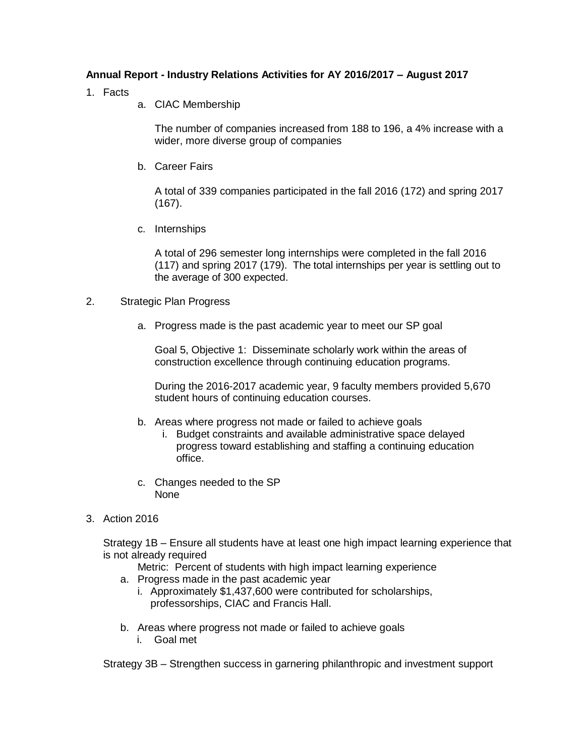## **Annual Report - Industry Relations Activities for AY 2016/2017 – August 2017**

- 1. Facts
	- a. CIAC Membership

The number of companies increased from 188 to 196, a 4% increase with a wider, more diverse group of companies

b. Career Fairs

A total of 339 companies participated in the fall 2016 (172) and spring 2017 (167).

c. Internships

A total of 296 semester long internships were completed in the fall 2016 (117) and spring 2017 (179). The total internships per year is settling out to the average of 300 expected.

- 2. Strategic Plan Progress
	- a. Progress made is the past academic year to meet our SP goal

Goal 5, Objective 1: Disseminate scholarly work within the areas of construction excellence through continuing education programs.

During the 2016-2017 academic year, 9 faculty members provided 5,670 student hours of continuing education courses.

- b. Areas where progress not made or failed to achieve goals
	- i. Budget constraints and available administrative space delayed progress toward establishing and staffing a continuing education office.
- c. Changes needed to the SP None
- 3. Action 2016

Strategy 1B – Ensure all students have at least one high impact learning experience that is not already required

Metric: Percent of students with high impact learning experience

- a. Progress made in the past academic year
	- i. Approximately \$1,437,600 were contributed for scholarships, professorships, CIAC and Francis Hall.
- b. Areas where progress not made or failed to achieve goals i. Goal met

Strategy 3B – Strengthen success in garnering philanthropic and investment support